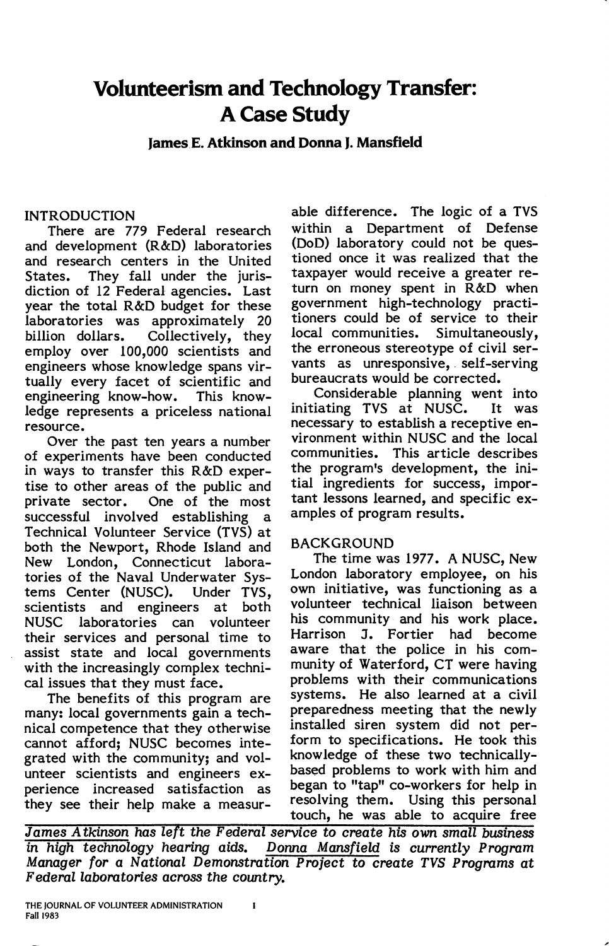# **Volunteerism and Technology Transfer: A Case Study**

**JamesE. Atkinson and Donna J. Mansfield** 

#### INTRODUCTION

There are 779 Federal research and development (R&D) laboratories and research centers in the United States. They fall under the jurisdiction of 12 Federal agencies. Last year the total R&D budget for these laboratories was approximately 20<br>billion dollars. Collectively, they Collectively, they employ over 100,000 scientists and engineers whose knowledge spans virtually every facet of scientific and engineering know-how. ledge represents a priceless national resource.

Over the past ten years a number of experiments have been conducted in ways to transfer this R&D expertise to other areas of the public and<br>private sector. One of the most One of the most successful involved establishing a Technical Volunteer Service (TVS) at both the Newport, Rhode Island and BACKGROUND<br>New London, Connecticut, Jabora, The time was 1977. A NUSC, New New London, Connecticut labora- The time was 1977. A NUSC, New<br>tories of the Naval Underwater Sys- London laboratory employee, on his tories of the Naval Underwater Systerms Center (NUSC). Under TVS, own initiative, was functioning as a scientists and engineers at both volunteer technical liaison between scientists and engineers at both volunteer technical liaison between<br>NUSC, laboratories, can volunteer, his community and his work place. NUSC laboratories can volunteer his community and his work place. their services and personal time to Harrison J. Fortier had become<br>assist state and local governments aware that the police in his comassist state and local governments aware that the police in his com-<br>with the increasingly complex techni- munity of Waterford, CT were having with the increasingly complex techni- munity of Waterford, CT were having<br>cal issues that they must face by problems with their communications

many: local governments gain a tech-<br>nical competence that they otherwise installed siren system did not pernical competence that they otherwise installed siren system did not per-<br>cannot afford: NUSC becomes inte- form to specifications. He took this cannot afford; NUSC becomes inte- form to specifications. He took this<br>grated with the community: and vol- knowledge of these two technicallygrated with the community; and vol- knowledge of these two technically-<br>unteer, scientists, and engineers ex- based problems to work with him and unteer scientists and engineers ex- based problems to work with him and<br>perience, increased, satisfaction, as began to "tap" co-workers for help in perience increased satisfaction as

able difference. The logic of a TVS within a Department of Defense (DoD) laboratory could not be questioned once it was realized that the taxpayer would receive a greater return on money spent in R&D when government high-technology practitioners could be of service to their<br>local communities. Simultaneously, local communities. the erroneous stereotype of civil servants as unresponsive, self-serving bureaucrats would be corrected.

Considerable planning went into<br>iating TVS at NUSC. It was initiating TVS at NUSC. necessary to establish a receptive environment within NUSC and the local communities. This article describes the program's development, the initial ingredients for success, important lessons learned, and specific examples of program results.

cal issues that they must face.<br>The benefits of this program are systems. He also learned at a civil The benefits of this program are systems. He also learned at a civil<br>we local governments gain a tech- preparedness meeting that the newly perferict increased substantion. They see their help make a measur-<br>touch, he was able to acquire free

James Atkinson has left the Federal service to create his own small business in high technology hearing aids. Donna Mansfield is currently Program Manager for a National Demonstration Project to create TVS Programs at Federal laboratories across the country.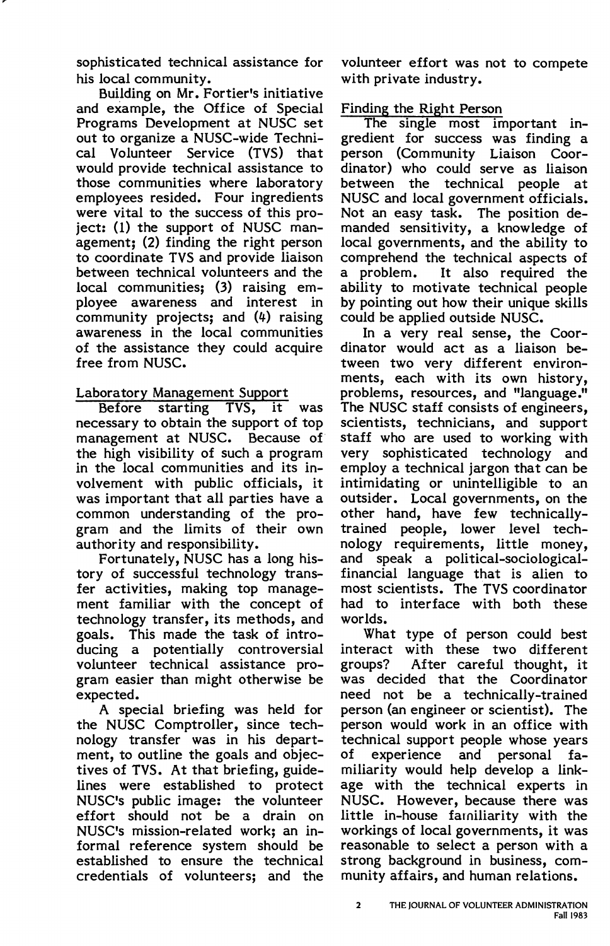sophisticated technical assistance for his local community.

Building on Mr. Fortier's initiative and example, the Office of Special Programs Development at NUSC set out to organize a NUSC-wide Technical Volunteer Service (TVS) that would provide technical assistance to those communities where laboratory employees resided. Four ingredients were vital to the success of this project: (1) the support of NUSC management; (2) finding the right person to coordinate TVS and provide liaison between technical volunteers and the local communities; (3) raising employee awareness and interest in community projects; and (4) raising awareness in the local communities of the assistance they could acquire free from NUSC.

# Laboratory Management Support

Before starting TVS, it was necessary to obtain the support of top management at NUSC. Because of the high visibility of such a program in the local communities and its involvement with public officials, it was important that all parties have a common understanding of the program and the limits of their own authority and responsibility.

Fortunately, NUSC has a long history of successful technology transfer activities, making top management familiar with the concept of technology transfer, its methods, and goals. This made the task of introducing a potentially controversial volunteer technical assistance program easier than might otherwise be expected.

A special briefing was held for the NUSC Comptroller, since technology transfer was in his department, to outline the goals and objectives of TVS. At that briefing, guidelines were established to protect NUSC's public image: the volunteer effort should not be a drain on NUSC's mission-related work; an informal reference system should be established to ensure the technical credentials of volunteers; and the

volunteer effort was not to compete with private industry.

# Finding the Right Person

The single most important ingredient for success was finding a person (Community Liaison Coordinator) who could serve as liaison between the technical people at NUSC and local government officials. Not an easy task. The position demanded sensitivity, a knowledge of local governments, and the ability to comprehend the technical aspects of a problem. It also required the ability to motivate technical people by pointing out how their unique skills could be applied outside NUSC.

In a very real sense, the Coordinator would act as a liaison between two very different environments, each with its own history, problems, resources, and "language." The NUSC staff consists of engineers, scientists, technicians, and support staff who are used to working with very sophisticated technology and employ a technical jargon that can be intimidating or unintelligible to an outsider. Local governments, on the other hand, have few technicallytrained people, lower level technology requirements, little money, and speak a political-sociologicalfinancial language that is alien to most scientists. The TVS coordinator had to interface with both these worlds.

What type of person could best interact with these two different groups? After careful thought, it was decided that the Coordinator need not be a technically-trained person (an engineer or scientist). The person would work in an office with technical support people whose years of experience and personal familiarity would help develop a linkage with the technical experts in NUSC. However, because there was little in-house familiarity with the workings of local governments, it was reasonable to select a person with a strong background in business, community affairs, and human relations.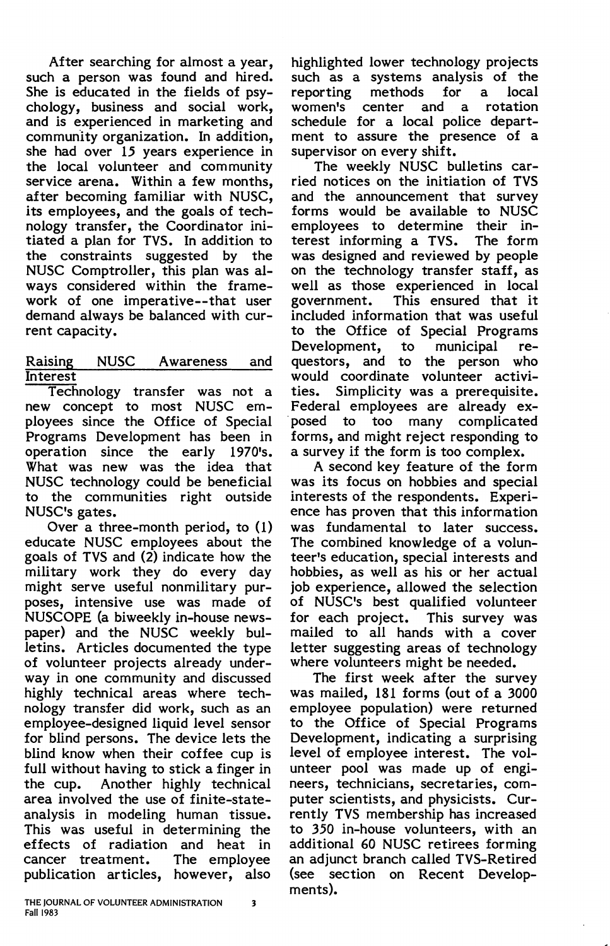After searching for almost a year, such a person was found and hired. She is educated in the fields of psychology, business and social work, and is experienced in marketing and community organization. In addition, she had over 15 years experience in the local volunteer and community service arena. Within a few months, after becoming familiar with NUSC, its employees, and the goals of technology transfer, the Coordinator initiated a plan for TVS. In addition to the constraints suggested by the NUSC Comptroller, this plan was always considered within the framework of one imperative--that user demand always be balanced with current capacity.

# Raising NUSC Awareness and Interest

Technology transfer was not a new concept to most NUSC employees since the Office of Special Programs Development has been in operation since the early 1970's. What was new was the idea that NUSC technology could be beneficial to the communities right outside NUSC's gates.

Over a three-month period, to (1) educate NUSC employees about the goals of TVS and (2) indicate how the military work they do every day might serve useful nonmilitary purposes, intensive use was made of NUSCOPE (a biweekly in-house newspaper) and the NUSC weekly bulletins. Articles documented the type of volunteer projects already underway in one community and discussed highly technical areas where technology transfer did work, such as an employee-designed liquid level sensor for blind persons. The device lets the blind know when their coffee cup is full without having to stick a finger in the cup. Another highly technical area involved the use of finite-stateanalysis in modeling human tissue. This was useful in determining the effects of radiation and heat in cancer treatment. The employee publication articles, however, also

highlighted lower technology projects such as a systems analysis of the<br>reporting methods for a local reporting methods for a local women's center and a schedule for a local police department to assure the presence of a supervisor on every shift.

The weekly NUSC bulletins carried notices on the initiation of TVS and the announcement that survey forms would be available to NUSC employees to determine their interest informing a TVS. The form was designed and reviewed by people on the technology transfer staff, as well as those experienced in local government. This ensured that it included information that was useful to the Office of Special Programs Development, to municipal requestors, and to the person who would coordinate volunteer activities. Simplicity was a prerequisite. Federal employees are already exposed to too many complicated forms, and might reject responding to a survey if the form is too complex.

A second key feature of the form was its focus on hobbies and special interests of the respondents. Experience has proven that this information was fundamental to later success. The combined knowledge of a volunteer's education, special interests and hobbies, as well as his or her actual job experience, allowed the selection of NUSC's best qualified volunteer for each project. This survey was mailed to all hands with a cover letter suggesting areas of technology where volunteers might be needed.

The first week after the survey was mailed, 181 forms (out of a 3000 employee population) were returned to the Office of Special Programs Development, indicating a surprising level of employee interest. The volunteer pool was made up of engineers, technicians, secretaries, computer scientists, and physicists. Currently TVS membership has increased to 350 in-house volunteers, with an additional 60 NUSC retirees forming an adjunct branch called TVS-Retired (see section on Recent Developments).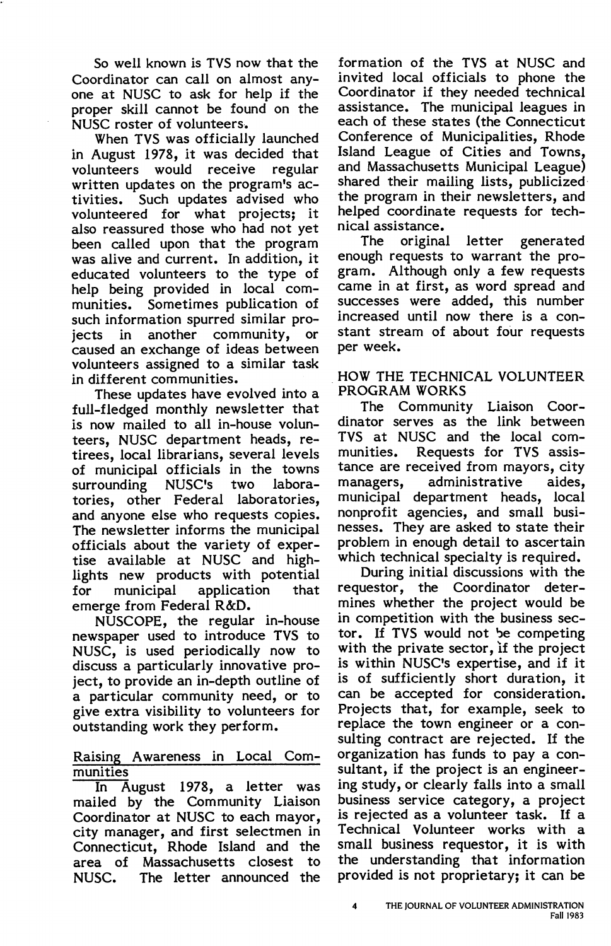So well known is TVS now that the Coordinator can call on almost anyone at NUSC to ask for help if the proper skill cannot be found on the NUSC roster of volunteers.

When TVS was officially launched in August 1978, it was decided that volunteers would receive regular written updates on the program's activities. Such updates advised who volunteered for what projects; it also reassured those who had not yet been called upon that the program was alive and current. In addition, it educated volunteers to the type of help being provided in local communities. Sometimes publication of such information spurred similar projects in another community, or caused an exchange of ideas between volunteers assigned to a similar task in different communities.

These updates have evolved into a full-fledged monthly newsletter that is now mailed to all in-house volunteers, NUSC department heads, retirees, local librarians, several levels of municipal officials in the towns surrounding NUSC's two laboratories, other Federal laboratories, and anyone else who requests copies. The newsletter informs the municipal officials about the variety of expertise available at NUSC and highlights new products with potential for municipal application that emerge from Federal R&D.

NUSCOPE, the regular in-house newspaper used to introduce TVS to NUSC, is used periodically now to discuss a particularly innovative project, to provide an in-depth outline of a particular community need, or to give extra visibility to volunteers for outstanding work they perform.

### Raising Awareness in Local Communities

In August 1978, a letter was mailed by the Community Liaison Coordinator at NUSC to each mayor, city manager, and first selectmen in Connecticut, Rhode Island and the area of Massachusetts closest to NUSC. The letter announced the

formation of the TVS at NUSC and invited local officials to phone the Coordinator if they needed technical assistance. The municipal leagues in each of these states (the Connecticut Conference of Municipalities, Rhode Island League of Cities and Towns, and Massachusetts Municipal League) shared their mailing lists, publicized· the program in their newsletters, and helped coordinate requests for technical assistance.<br>The original

The original letter generated enough requests to warrant the program. Although only a few requests came in at first, as word spread and successes were added, this number increased until now there is a constant stream of about four requests per week.

#### . HOW THE TECHNICAL VOLUNTEER **PROGRAM WORKS**

The Community Liaison Coordinator serves as the link between TVS at NUSC and the local communities. Requests for TVS assistance are received from mayors, city managers, administrative aides, municipal department heads, local nonprofit agencies, and small businesses. They are asked to state their problem in enough detail to ascertain which technical specialty is required.

During initial discussions with the requestor, the Coordinator determines whether the project would be in competition with the business sector. If TVS would not be competing with the private sector, if the project is within NUSC's expertise, and if it is of sufficiently short duration, it can be accepted for consideration. Projects that, for example, seek to replace the town engineer or a consulting contract are rejected. If the organization has funds to pay a consultant, if the project is an engineering study, or clearly falls into a small business service category, a project is rejected as a volunteer task. If a Technical Volunteer works with a small business requestor, it is with the understanding that information provided is not proprietary; it can be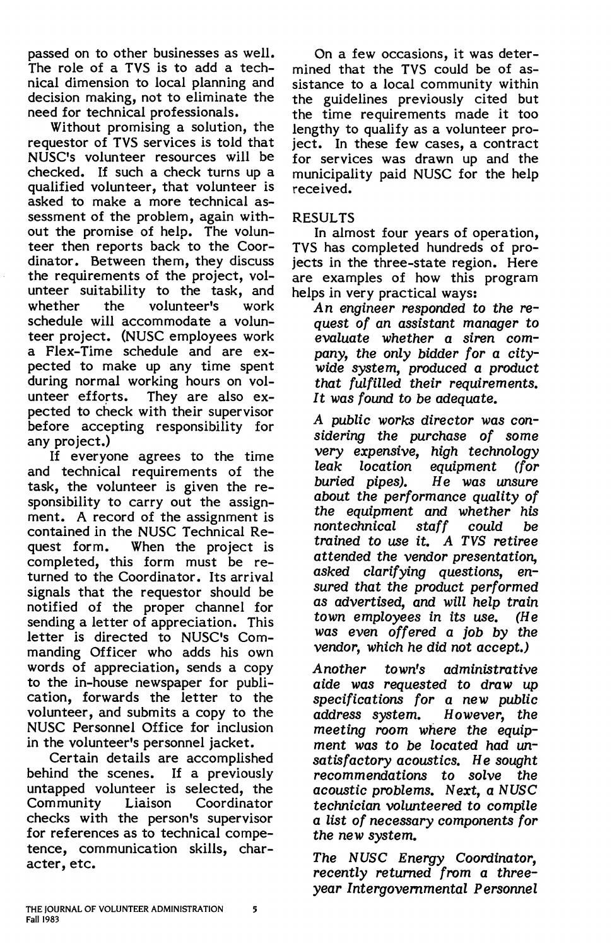passed on to other businesses as well. The role of a TVS is to add a technical dimension to local planning and decision making, not to eliminate the need for technical professionals.

Without promising a solution, the requestor of TVS services is told that NUSC's volunteer resources will be checked. If such a check turns up a qualified volunteer, that volunteer is asked to make a more technical assessment of the problem, again without the promise of help. The volunteer then reports back to the Coordinator. Between them, they discuss the requirements of the project, volunteer suitability to the task, and whether the volunteer's work schedule will accommodate a volunteer project. (NUSC employees work a Flex-Time schedule and are expected to make up any time spent during normal working hours on volunteer efforts. They are also expected to check with their supervisor before accepting responsibility for any project.)

If everyone agrees to the time and technical requirements of the task, the volunteer is given the responsibility to carry out the assignment. A record of the assignment is contained in the NUSC Technical Request form. When the project is completed, this form must be returned to the Coordinator. Its arrival signals that the requestor should be notified of the proper channel for sending a letter of appreciation. This letter is directed to NUSC's Commanding Officer who adds his own words of appreciation, sends a copy to the in-house newspaper for publication, forwards the letter to the volunteer, and submits a copy to the NUSC Personnel Office for inclusion in the volunteer's personnel jacket.

Certain details are accomplished behind the scenes. If a previously untapped volunteer is selected, the Community Liaison Coordinator checks with the person's supervisor for references as to technical competence, communication skills, character, etc.

On a few occasions, it was determined that the TVS could be of assistance to a local community within the guidelines previously cited but the time requirements made it too lengthy to qualify as a volunteer project. In these few cases, a contract for services was drawn up and the municipality paid NUSC for the help received.

# RESULTS

In almost four years of operation, TVS has completed hundreds of projects in the three-state region. Here are examples of how this program helps in very practical ways:

An engineer responded to the request of an assistant manager to evaluate whether a siren company, the only bidder for a citywide system, produced a product that fulfilled their requirements. *It* was found to be adequate.

A public works director was considering the purchase of some very expensive, high technology leak location equipment (for<br>buried pipes). He was unsure He was unsure about the performance quality of the equipment and whether his nontechnical staff could be trained to use it. A TVS retiree attended the vendor presentation, asked clarifying questions, ensured that the product performed as advertised, and will help train town employees in its use. (He was even offered a job by the vendor, which he did not accept.)

Another town's administrative aide was requested to draw *up*  specifications for a new public address system. However, the meeting room where the equipment was to be located had unsatisfactory acoustics. He sought recommendations to solve the acoustic problems. Next, a NUSC technician volunteered to compile a list of necessary components for the new system.

The NUSC Energy Coordinator, recently returned from a threeyear Intergovernmental Personnel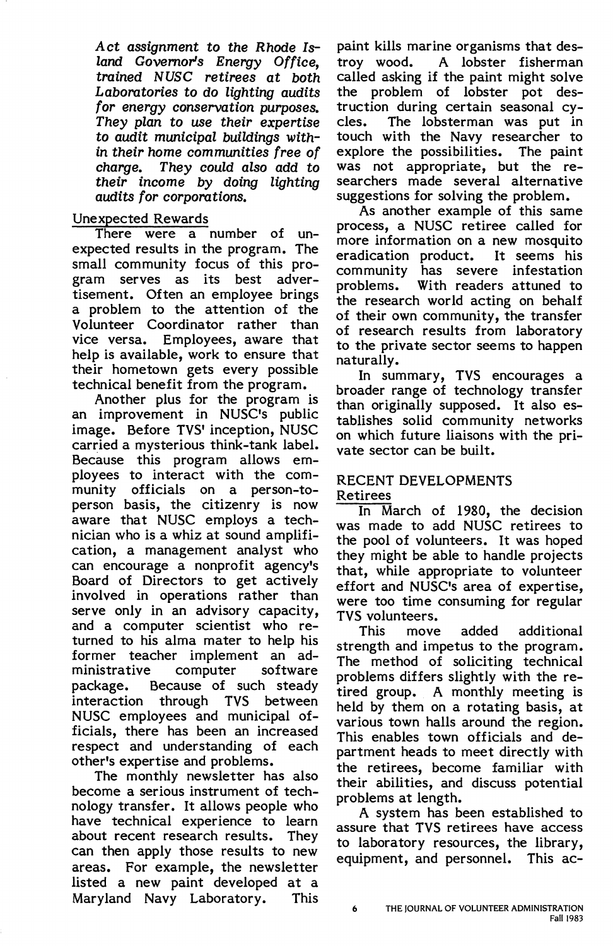Act assignment to the Rhode Island Govemor's Energy Office, trained NUSC retirees at both Laboratories to do lighting audits for energy conservation purposes. They plan to use their expertise to audit municipal buildings within their home communities free of charge. They could also add to their income by doing lighting audits for corporations.

#### Unexpected Rewards

There were a number of unexpected results in the program. The small community focus of this program serves as its best advertisement. Often an employee brings a problem to the attention of the Volunteer Coordinator rather than vice versa. Employees, aware that help is available, work to ensure that their hometown gets every possible technical benefit from the program.

Another plus for the program is an improvement in NUSC's public image. Before TVS' inception, NUSC carried a mysterious think-tank label. Because this program allows employees to interact with the community officials on a person-toperson basis, the citizenry is now aware that NUSC employs a technician who is a whiz at sound amplification, a management analyst who can encourage a nonprofit agency's Board of Directors to get actively involved in operations rather than serve only in an advisory capacity, and a computer scientist who returned to his alma mater to help his former teacher implement an administrative computer package. Because of such steady interaction through TVS between NUSC employees and municipal officials, there has been an increased respect and understanding of each other's expertise and problems.

The monthly newsletter has also become a serious instrument of technology transfer. It allows people who have technical experience to learn about recent research results. They can then apply those results to new areas. For example, the newsletter listed a new paint developed at a Maryland Navy Laboratory. This paint kills marine organisms that destroy wood. A lobster fisherman called asking if the paint might solve the problem of lobster pot destruction during certain seasonal cy-The lobsterman was put in touch with the Navy researcher to explore the possibilities. The paint was not appropriate, but the researchers made several alternative suggestions for solving the problem.

As another example of this same process, a NUSC retiree called for more information on a new mosquito<br>eradication product. It seems his eradication product. community has severe infestation problems. With readers attuned to the research world acting on behalf of their own community, the transfer of research results from laboratory to the private sector seems to happen naturally.

In summary, TVS encourages a broader range of technology transfer than originally supposed. It also establishes solid community networks on which future liaisons with the private sector can be built.

### RECENT DEVELOPMENTS Retirees

In March of 1980, the decision was made to add NUSC retirees to the pool of volunteers. It was hoped they might be able to handle projects that, while appropriate to volunteer effort and NUSC's area of expertise, were too time consuming for regular TVS volunteers.

This move added additional strength and impetus to the program. The method of soliciting technical problems differs slightly with the retired group. A monthly meeting is held by them on a rotating basis, at various town halls around the region. This enables town officials and department heads to meet directly with the retirees, become familiar with their abilities, and discuss potential problems at length.

A system has been established to assure that TVS retirees have access to laboratory resources, the library, equipment, and personnel. This ac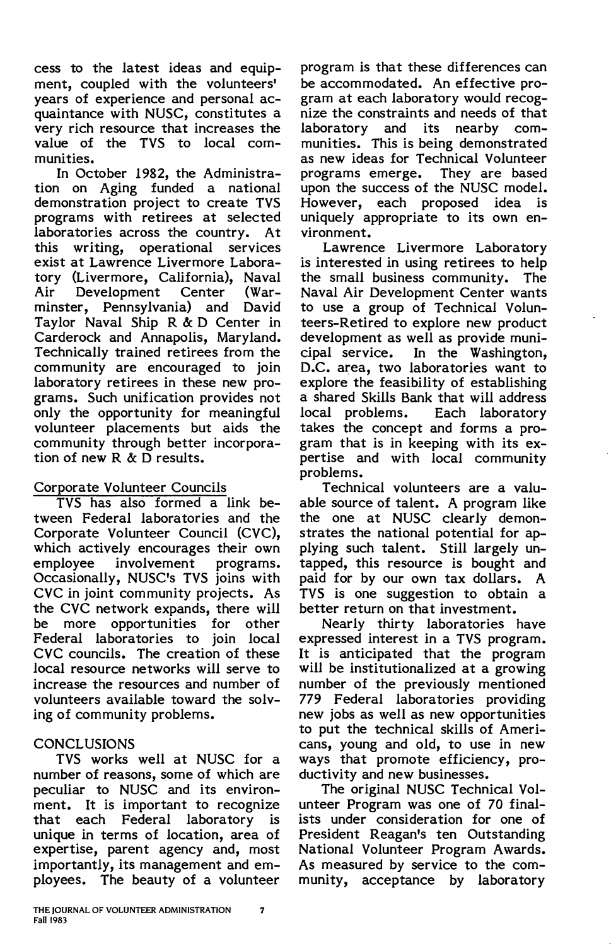cess to the latest ideas and equipment, coupled with the volunteers' years of experience and personal acquaintance with NUSC, constitutes a very rich resource that increases the value of the TVS to local communities.

In October 1982, the Administration on Aging funded a national demonstration project to create TVS programs with retirees at selected laboratories across the country. At<br>this writing, operational services operational services exist at Lawrence Livermore Laboratory (Livermore, California), Naval<br>Air Development Center (War-Development minster, Pennsylvania) and David Taylor Naval Ship R & D Center in Carderock and Annapolis, Maryland. Technically trained retirees from the community are encouraged to join laboratory retirees in these new programs. Such unification provides not only the opportunity for meaningful volunteer placements but aids the community through better incorporation of new R & D results.

# Corporate Volunteer Councils

TVS has also formed a link between Federal laboratories and the Corporate Volunteer Council (CVC), which actively encourages their own employee involvement programs. Occasionally, NUSC's TVS joins with CVC in joint community projects. As the CVC network expands, there will be more opportunities for other Federal laboratories to join local CVC councils. The creation of these local resource networks will serve to increase the resources and number of volunteers available toward the solving of community problems.

# CONCLUSIONS

TVS works well at NUSC for a number of reasons, some of which are peculiar to NUSC and its environment. It is important to recognize that each Federal laboratory is unique in terms of location, area of expertise, parent agency and, most importantly, its management and employees. The beauty of a volunteer

program is that these differences can be accommodated. An effective program at each laboratory would recognize the constraints and needs of that<br>laboratory and its nearby comlaboratory and munities. This is being demonstrated as new ideas for Technical Volunteer<br>programs emerge. They are based programs emerge. upon the success of the NUSC model. However, each proposed idea is uniquely appropriate to its own environment.

Lawrence Livermore Laboratory is interested in using retirees to help the small business community. The Naval Air Development Center wants to use a group of Technical Volunteers-Retired to explore new product development as well as provide muni-<br>cipal service. In the Washington, In the Washington, D.C. area, two laboratories want to explore the feasibility of establishing a shared Skills Bank that will address<br>local problems. Each laboratory local problems. takes the concept and forms a program that is in keeping with its expertise and with local community problems.

Technical volunteers are a valuable source of talent. A program like the one at NUSC clearly demonstrates the national potential for applying such talent. Still largely untapped, this resource is bought and paid for by our own tax dollars. A TVS is one suggestion to obtain a better return on that investment.

Nearly thirty laboratories have expressed interest in a TVS program. It is anticipated that the program will be institutionalized at a growing number of the previously mentioned 779 Federal laboratories providing new jobs as well as new opportunities to put the technical skills of Americans, young and old, to use in new ways that promote efficiency, productivity and new businesses.

The original NUSC Technical Volunteer Program was one of 70 finalists under consideration for one of President Reagan's ten Outstanding National Volunteer Program Awards. As measured by service to the community, acceptance by laboratory